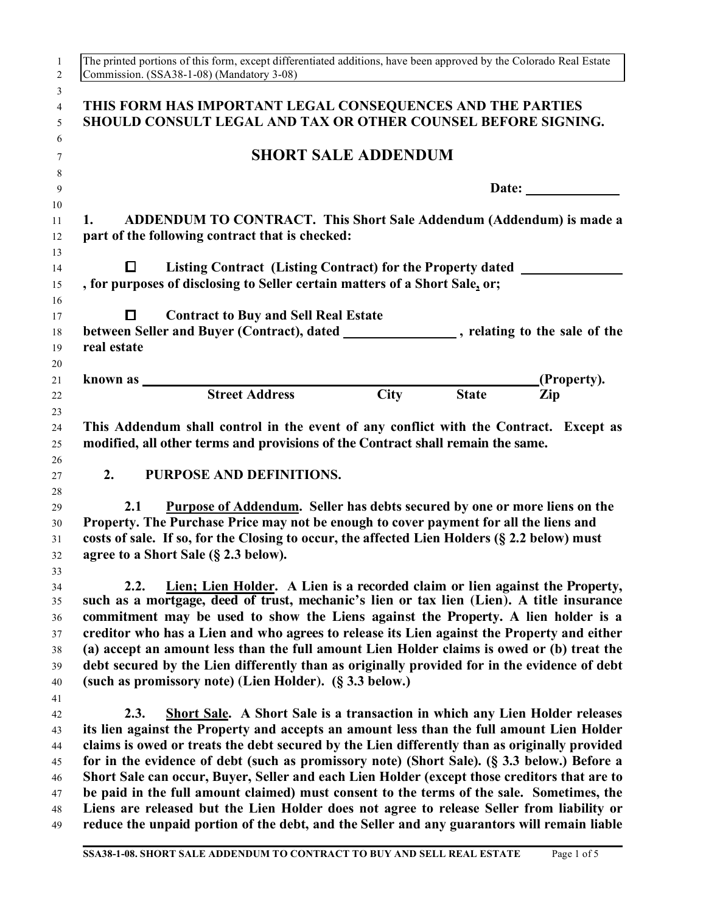|                  | Commission. (SSA38-1-08) (Mandatory 3-08)                                                    |                                                                                                                                                                 |                            |              | The printed portions of this form, except differentiated additions, have been approved by the Colorado Real Estate                                                                                                                                                                                                                                                                                                                                                                                                                                       |
|------------------|----------------------------------------------------------------------------------------------|-----------------------------------------------------------------------------------------------------------------------------------------------------------------|----------------------------|--------------|----------------------------------------------------------------------------------------------------------------------------------------------------------------------------------------------------------------------------------------------------------------------------------------------------------------------------------------------------------------------------------------------------------------------------------------------------------------------------------------------------------------------------------------------------------|
|                  |                                                                                              | THIS FORM HAS IMPORTANT LEGAL CONSEQUENCES AND THE PARTIES<br>SHOULD CONSULT LEGAL AND TAX OR OTHER COUNSEL BEFORE SIGNING.                                     |                            |              |                                                                                                                                                                                                                                                                                                                                                                                                                                                                                                                                                          |
|                  |                                                                                              |                                                                                                                                                                 | <b>SHORT SALE ADDENDUM</b> |              |                                                                                                                                                                                                                                                                                                                                                                                                                                                                                                                                                          |
|                  |                                                                                              |                                                                                                                                                                 |                            |              | Date:                                                                                                                                                                                                                                                                                                                                                                                                                                                                                                                                                    |
| 1.               |                                                                                              | part of the following contract that is checked:                                                                                                                 |                            |              | ADDENDUM TO CONTRACT. This Short Sale Addendum (Addendum) is made a                                                                                                                                                                                                                                                                                                                                                                                                                                                                                      |
| $\Box$           |                                                                                              | Listing Contract (Listing Contract) for the Property dated _____________________<br>, for purposes of disclosing to Seller certain matters of a Short Sale, or; |                            |              |                                                                                                                                                                                                                                                                                                                                                                                                                                                                                                                                                          |
| 0<br>real estate |                                                                                              | <b>Contract to Buy and Sell Real Estate</b>                                                                                                                     |                            |              | between Seller and Buyer (Contract), dated ________________, relating to the sale of the                                                                                                                                                                                                                                                                                                                                                                                                                                                                 |
|                  |                                                                                              | known as $\qquad \qquad$                                                                                                                                        |                            |              | (Property).                                                                                                                                                                                                                                                                                                                                                                                                                                                                                                                                              |
|                  |                                                                                              | <b>Street Address</b>                                                                                                                                           | <b>City</b>                | <b>State</b> | Zip                                                                                                                                                                                                                                                                                                                                                                                                                                                                                                                                                      |
| 2.<br>2.1        |                                                                                              | PURPOSE AND DEFINITIONS.                                                                                                                                        |                            |              | Purpose of Addendum. Seller has debts secured by one or more liens on the                                                                                                                                                                                                                                                                                                                                                                                                                                                                                |
|                  | costs of sale. If so, for the Closing to occur, the affected Lien Holders (§ 2.2 below) must | Property. The Purchase Price may not be enough to cover payment for all the liens and                                                                           |                            |              |                                                                                                                                                                                                                                                                                                                                                                                                                                                                                                                                                          |
|                  | agree to a Short Sale (§ 2.3 below).                                                         |                                                                                                                                                                 |                            |              |                                                                                                                                                                                                                                                                                                                                                                                                                                                                                                                                                          |
| 2.2.             |                                                                                              |                                                                                                                                                                 |                            |              |                                                                                                                                                                                                                                                                                                                                                                                                                                                                                                                                                          |
|                  |                                                                                              | (such as promissory note) (Lien Holder). (§ 3.3 below.)                                                                                                         |                            |              | Lien; Lien Holder. A Lien is a recorded claim or lien against the Property,<br>such as a mortgage, deed of trust, mechanic's lien or tax lien (Lien). A title insurance<br>commitment may be used to show the Liens against the Property. A lien holder is a<br>creditor who has a Lien and who agrees to release its Lien against the Property and either<br>(a) accept an amount less than the full amount Lien Holder claims is owed or (b) treat the<br>debt secured by the Lien differently than as originally provided for in the evidence of debt |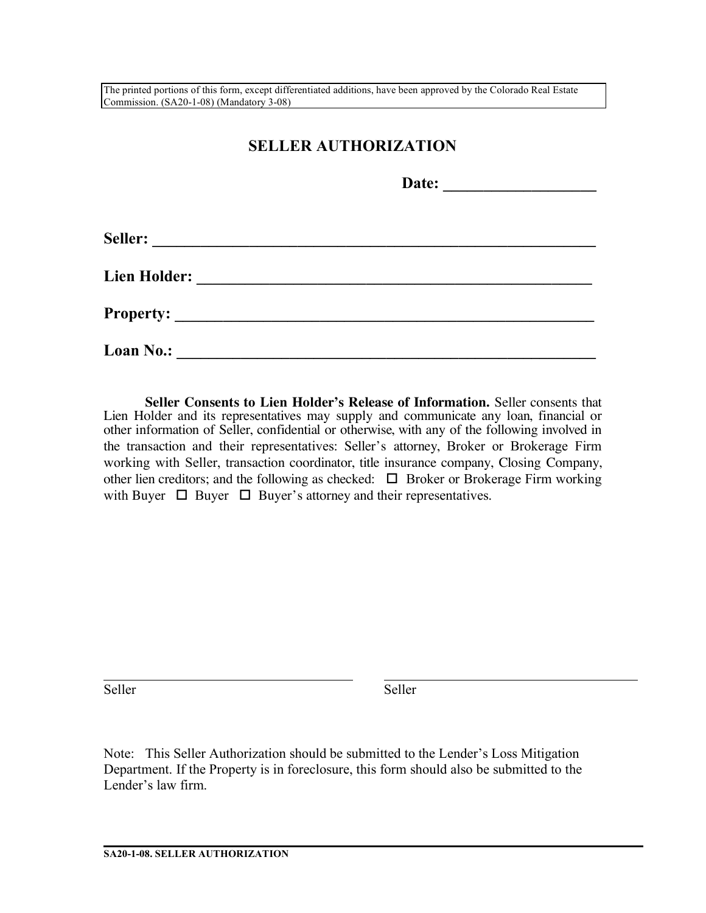The printed portions of this form, except differentiated additions, have been approved by the Colorado Real Estate Commission. (SA20-1-08) (Mandatory 3-08)

## **SELLER AUTHORIZATION**

|                                                                     | Date:                                         |  |
|---------------------------------------------------------------------|-----------------------------------------------|--|
| Seller:                                                             |                                               |  |
| <b>Lien Holder:</b>                                                 | <u> 1980 - Andrea Andrew Maria (h. 1980).</u> |  |
| <b>Property:</b><br><u> 1980 - John Stein, Amerikaansk kanton (</u> |                                               |  |
| <b>Loan No.:</b>                                                    |                                               |  |

**Seller Consents to Lien Holder's Release of Information.** Seller consents that Lien Holder and its representatives may supply and communicate any loan, financial or other information of Seller, confidential or otherwise, with any of the following involved in the transaction and their representatives: Seller's attorney, Broker or Brokerage Firm working with Seller, transaction coordinator, title insurance company, Closing Company, other lien creditors; and the following as checked:  $\Box$  Broker or Brokerage Firm working with Buyer  $\Box$  Buyer  $\Box$  Buyer's attorney and their representatives.

Seller Seller Seller

Note: This Seller Authorization should be submitted to the Lender's Loss Mitigation Department. If the Property is in foreclosure, this form should also be submitted to the Lender's law firm.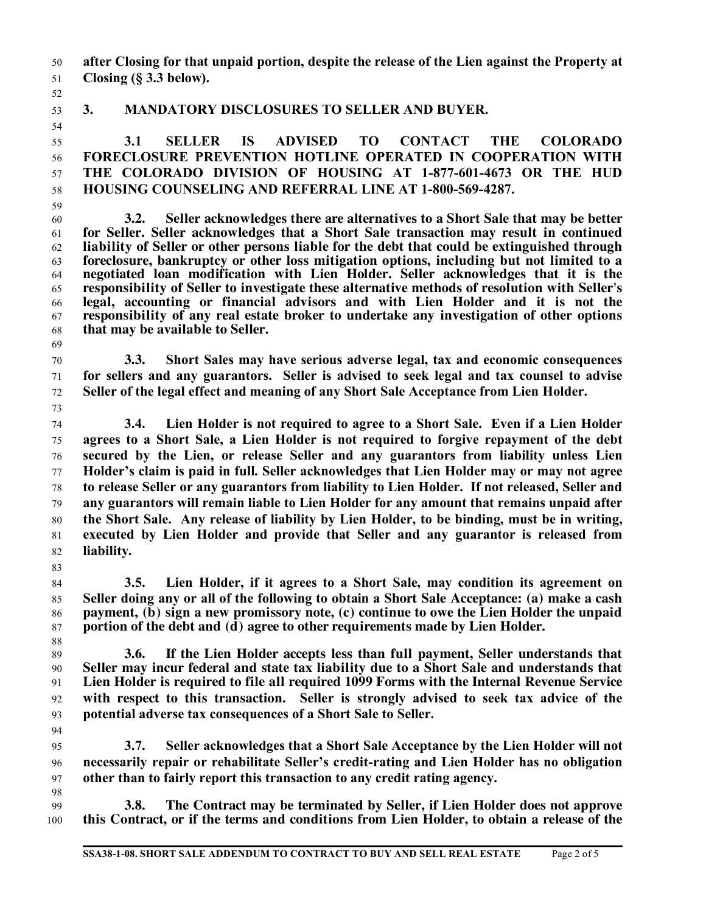**after Closing for that unpaid portion, despite the release of the Lien against the Property at Closing (§ 3.3 below).**

## **3. MANDATORY DISCLOSURES TO SELLER AND BUYER.**

 **3.1 SELLER IS ADVISED TO CONTACT THE COLORADO FORECLOSURE PREVENTION HOTLINE OPERATED IN COOPERATION WITH THE COLORADO DIVISION OF HOUSING AT 1-877-601-4673 OR THE HUD HOUSING COUNSELING AND REFERRAL LINE AT 1-800-569-4287.**

- **3.2. Seller acknowledges there are alternatives to a Short Sale that may be better for Seller. Seller acknowledges that a Short Sale transaction may result in continued liability of Seller or other persons liable for the debt that could be extinguished through foreclosure, bankruptcy or other loss mitigation options, including but not limited to a negotiated loan modification with Lien Holder. Seller acknowledges that it is the responsibility of Seller to investigate these alternative methods of resolution with Seller's legal, accounting or financial advisors and with Lien Holder and it is not the responsibility of any real estate broker to undertake any investigation of other options that may be available to Seller.**
- 

 **3.3. Short Sales may have serious adverse legal, tax and economic consequences for sellers and any guarantors. Seller is advised to seek legal and tax counsel to advise Seller of the legal effect and meaning of any Short Sale Acceptance from Lien Holder.** 

- **3.4. Lien Holder is not required to agree to a Short Sale. Even if a Lien Holder agrees to a Short Sale, a Lien Holder is not required to forgive repayment of the debt secured by the Lien, or release Seller and any guarantors from liability unless Lien Holder's claim is paid in full. Seller acknowledges that Lien Holder may or may not agree to release Seller or any guarantors from liability to Lien Holder. If not released, Seller and any guarantors will remain liable to Lien Holder for any amount that remains unpaid after the Short Sale. Any release of liability by Lien Holder, to be binding, must be in writing, executed by Lien Holder and provide that Seller and any guarantor is released from liability.**
- **3.5. Lien Holder, if it agrees to a Short Sale, may condition its agreement on Seller doing any or all of the following to obtain a Short Sale Acceptance: (a) make a cash payment, (b) sign a new promissory note, (c) continue to owe the Lien Holder the unpaid portion of the debt and (d) agree to other requirements made by Lien Holder.**

 **3.6. If the Lien Holder accepts less than full payment, Seller understands that Seller may incur federal and state tax liability due to a Short Sale and understands that Lien Holder is required to file all required 1099 Forms with the Internal Revenue Service with respect to this transaction. Seller is strongly advised to seek tax advice of the potential adverse tax consequences of a Short Sale to Seller.**

- **3.7. Seller acknowledges that a Short Sale Acceptance by the Lien Holder will not necessarily repair or rehabilitate Seller's credit-rating and Lien Holder has no obligation other than to fairly report this transaction to any credit rating agency.**
- **3.8. The Contract may be terminated by Seller, if Lien Holder does not approve this Contract, or if the terms and conditions from Lien Holder, to obtain a release of the**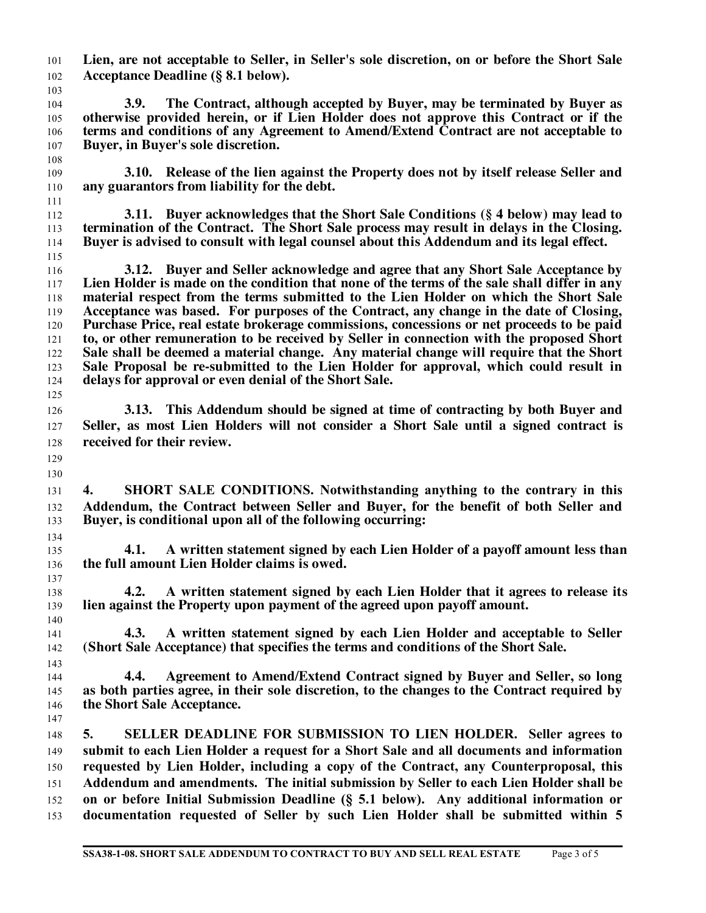**Lien, are not acceptable to Seller, in Seller's sole discretion, on or before the Short Sale Acceptance Deadline (§ 8.1 below).**  

 **3.9. The Contract, although accepted by Buyer, may be terminated by Buyer as otherwise provided herein, or if Lien Holder does not approve this Contract or if the terms and conditions of any Agreement to Amend/Extend Contract are not acceptable to Buyer, in Buyer's sole discretion.** 

 **3.10. Release of the lien against the Property does not by itself release Seller and any guarantors from liability for the debt.**

 **3.11. Buyer acknowledges that the Short Sale Conditions (§ 4 below) may lead to termination of the Contract. The Short Sale process may result in delays in the Closing. Buyer is advised to consult with legal counsel about this Addendum and its legal effect.**  

 **3.12. Buyer and Seller acknowledge and agree that any Short Sale Acceptance by Lien Holder is made on the condition that none of the terms of the sale shall differ in any material respect from the terms submitted to the Lien Holder on which the Short Sale Acceptance was based. For purposes of the Contract, any change in the date of Closing, Purchase Price, real estate brokerage commissions, concessions or net proceeds to be paid to, or other remuneration to be received by Seller in connection with the proposed Short Sale shall be deemed a material change. Any material change will require that the Short Sale Proposal be re-submitted to the Lien Holder for approval, which could result in delays for approval or even denial of the Short Sale.**

 **3.13. This Addendum should be signed at time of contracting by both Buyer and Seller, as most Lien Holders will not consider a Short Sale until a signed contract is received for their review.**

 

 **4. SHORT SALE CONDITIONS. Notwithstanding anything to the contrary in this Addendum, the Contract between Seller and Buyer, for the benefit of both Seller and Buyer, is conditional upon all of the following occurring:**

 **4.1. A written statement signed by each Lien Holder of a payoff amount less than the full amount Lien Holder claims is owed.**

 **4.2. A written statement signed by each Lien Holder that it agrees to release its lien against the Property upon payment of the agreed upon payoff amount.**

 **4.3. A written statement signed by each Lien Holder and acceptable to Seller (Short Sale Acceptance) that specifies the terms and conditions of the Short Sale.**

 **4.4. Agreement to Amend/Extend Contract signed by Buyer and Seller, so long as both parties agree, in their sole discretion, to the changes to the Contract required by the Short Sale Acceptance.** 

 **5. SELLER DEADLINE FOR SUBMISSION TO LIEN HOLDER. Seller agrees to submit to each Lien Holder a request for a Short Sale and all documents and information requested by Lien Holder, including a copy of the Contract, any Counterproposal, this Addendum and amendments. The initial submission by Seller to each Lien Holder shall be on or before Initial Submission Deadline (§ 5.1 below). Any additional information or documentation requested of Seller by such Lien Holder shall be submitted within 5**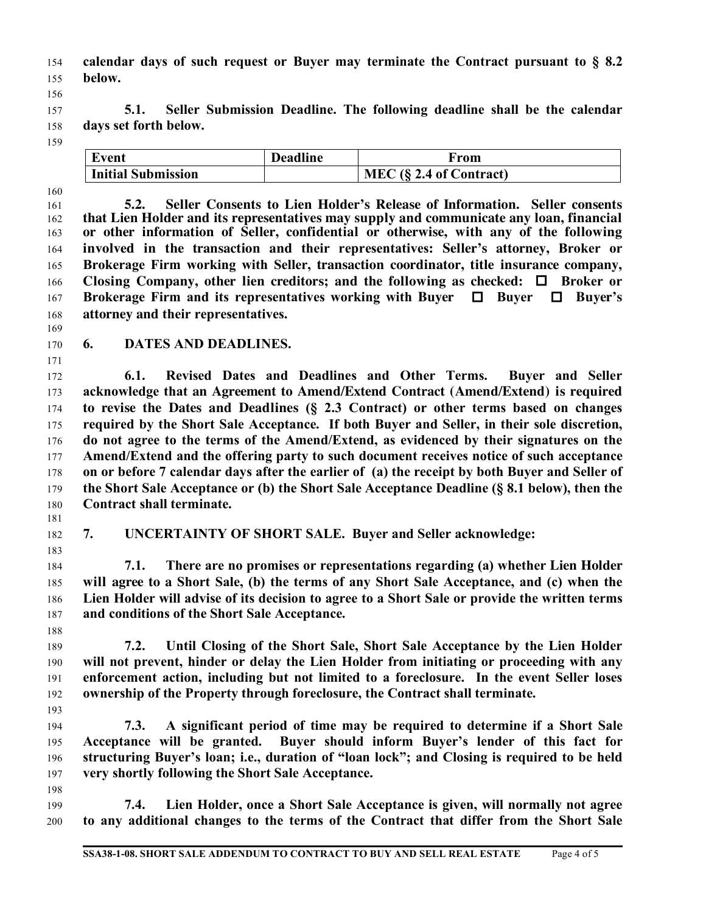- **calendar days of such request or Buyer may terminate the Contract pursuant to § 8.2 below.**
- **5.1. Seller Submission Deadline. The following deadline shall be the calendar days set forth below.**
- 

| Event                     | <b>Deadline</b> | From                       |
|---------------------------|-----------------|----------------------------|
| <b>Initial Submission</b> |                 | MEC $(\S$ 2.4 of Contract) |

 **5.2. Seller Consents to Lien Holder's Release of Information. Seller consents that Lien Holder and its representatives may supply and communicate any loan, financial or other information of Seller, confidential or otherwise, with any of the following involved in the transaction and their representatives: Seller's attorney, Broker or Brokerage Firm working with Seller, transaction coordinator, title insurance company, Closing Company, other lien creditors; and the following as checked:**  $\Box$  **Broker or Brokerage Firm and its representatives working with Buyer Buyer Buyer's attorney and their representatives.**

**6. DATES AND DEADLINES.** 

 **6.1. Revised Dates and Deadlines and Other Terms. Buyer and Seller acknowledge that an Agreement to Amend/Extend Contract (Amend/Extend) is required to revise the Dates and Deadlines (§ 2.3 Contract) or other terms based on changes required by the Short Sale Acceptance. If both Buyer and Seller, in their sole discretion, do not agree to the terms of the Amend/Extend, as evidenced by their signatures on the Amend/Extend and the offering party to such document receives notice of such acceptance on or before 7 calendar days after the earlier of (a) the receipt by both Buyer and Seller of the Short Sale Acceptance or (b) the Short Sale Acceptance Deadline (§ 8.1 below), then the Contract shall terminate.**

**7. UNCERTAINTY OF SHORT SALE. Buyer and Seller acknowledge:**

 **7.1. There are no promises or representations regarding (a) whether Lien Holder will agree to a Short Sale, (b) the terms of any Short Sale Acceptance, and (c) when the Lien Holder will advise of its decision to agree to a Short Sale or provide the written terms and conditions of the Short Sale Acceptance.** 

 **7.2. Until Closing of the Short Sale, Short Sale Acceptance by the Lien Holder will not prevent, hinder or delay the Lien Holder from initiating or proceeding with any enforcement action, including but not limited to a foreclosure. In the event Seller loses ownership of the Property through foreclosure, the Contract shall terminate.**

 **7.3. A significant period of time may be required to determine if a Short Sale Acceptance will be granted. Buyer should inform Buyer's lender of this fact for structuring Buyer's loan; i.e., duration of "loan lock"; and Closing is required to be held very shortly following the Short Sale Acceptance.**

 **7.4. Lien Holder, once a Short Sale Acceptance is given, will normally not agree to any additional changes to the terms of the Contract that differ from the Short Sale**